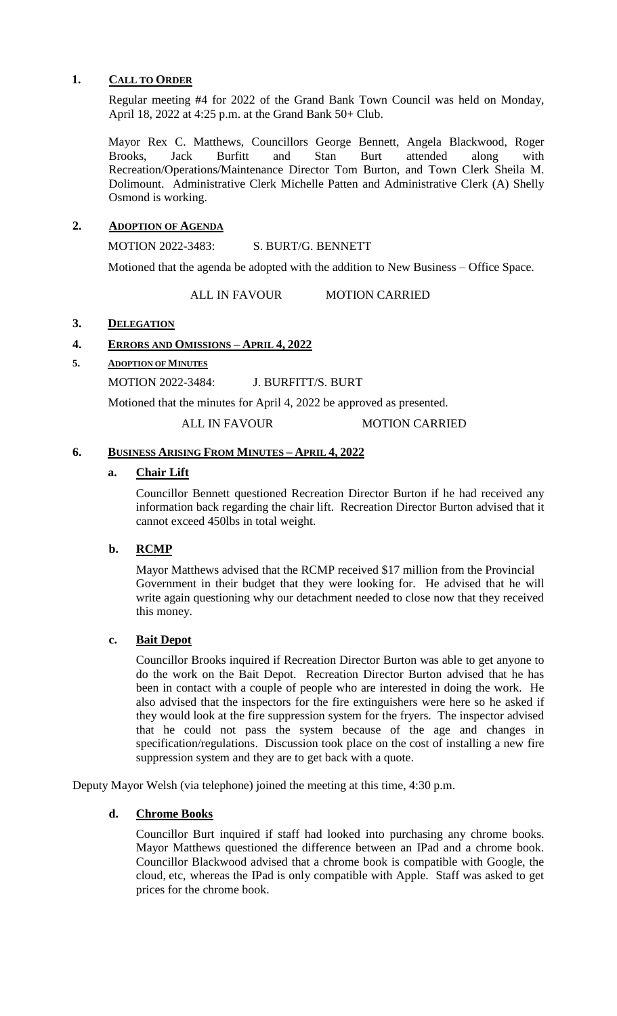## **1. CALL TO ORDER**

Regular meeting #4 for 2022 of the Grand Bank Town Council was held on Monday, April 18, 2022 at 4:25 p.m. at the Grand Bank 50+ Club.

Mayor Rex C. Matthews, Councillors George Bennett, Angela Blackwood, Roger Brooks, Jack Burfitt and Stan Burt attended along with Recreation/Operations/Maintenance Director Tom Burton, and Town Clerk Sheila M. Dolimount. Administrative Clerk Michelle Patten and Administrative Clerk (A) Shelly Osmond is working.

## **2. ADOPTION OF AGENDA**

MOTION 2022-3483: S. BURT/G. BENNETT

Motioned that the agenda be adopted with the addition to New Business – Office Space.

ALL IN FAVOUR MOTION CARRIED

## **3. DELEGATION**

# **4. ERRORS AND OMISSIONS – APRIL 4, 2022**

## **5. ADOPTION OF MINUTES**

MOTION 2022-3484: J. BURFITT/S. BURT

Motioned that the minutes for April 4, 2022 be approved as presented.

ALL IN FAVOUR MOTION CARRIED

### **6. BUSINESS ARISING FROM MINUTES – APRIL 4, 2022**

## **a. Chair Lift**

Councillor Bennett questioned Recreation Director Burton if he had received any information back regarding the chair lift. Recreation Director Burton advised that it cannot exceed 450lbs in total weight.

# **b. RCMP**

Mayor Matthews advised that the RCMP received \$17 million from the Provincial Government in their budget that they were looking for. He advised that he will write again questioning why our detachment needed to close now that they received this money.

# **c. Bait Depot**

Councillor Brooks inquired if Recreation Director Burton was able to get anyone to do the work on the Bait Depot. Recreation Director Burton advised that he has been in contact with a couple of people who are interested in doing the work. He also advised that the inspectors for the fire extinguishers were here so he asked if they would look at the fire suppression system for the fryers. The inspector advised that he could not pass the system because of the age and changes in specification/regulations. Discussion took place on the cost of installing a new fire suppression system and they are to get back with a quote.

Deputy Mayor Welsh (via telephone) joined the meeting at this time, 4:30 p.m.

# **d. Chrome Books**

Councillor Burt inquired if staff had looked into purchasing any chrome books. Mayor Matthews questioned the difference between an IPad and a chrome book. Councillor Blackwood advised that a chrome book is compatible with Google, the cloud, etc, whereas the IPad is only compatible with Apple. Staff was asked to get prices for the chrome book.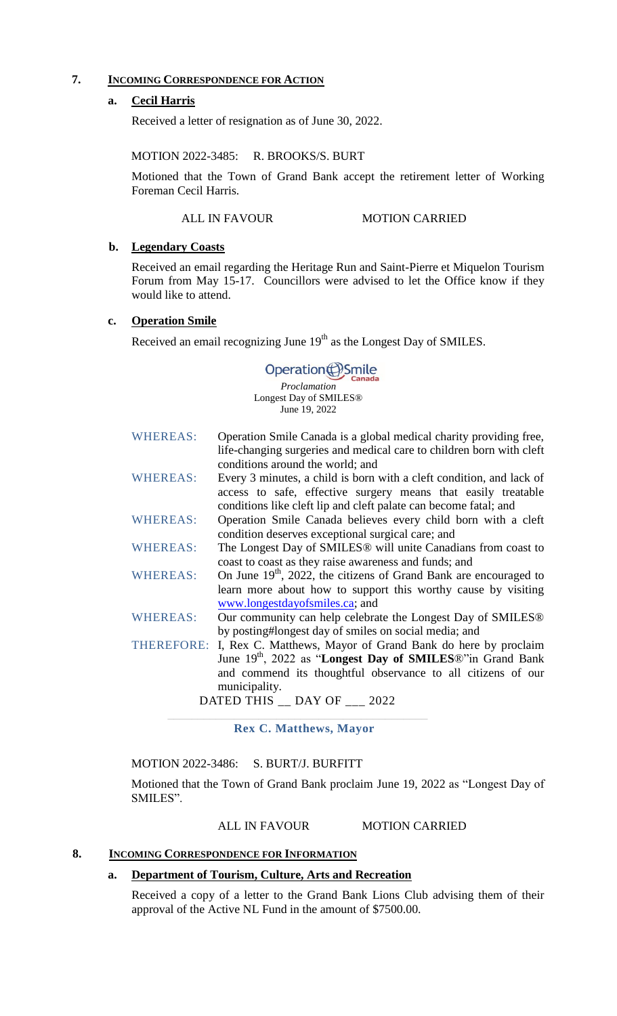# **7. INCOMING CORRESPONDENCE FOR ACTION**

### **a. Cecil Harris**

Received a letter of resignation as of June 30, 2022.

#### MOTION 2022-3485: R. BROOKS/S. BURT

Motioned that the Town of Grand Bank accept the retirement letter of Working Foreman Cecil Harris.

### ALL IN FAVOUR MOTION CARRIED

#### **b. Legendary Coasts**

Received an email regarding the Heritage Run and Saint-Pierre et Miquelon Tourism Forum from May 15-17. Councillors were advised to let the Office know if they would like to attend.

## **c. Operation Smile**

Received an email recognizing June  $19<sup>th</sup>$  as the Longest Day of SMILES.

# Operation(B) Smile

*Proclamation* Longest Day of SMILES® June 19, 2022

| <b>WHEREAS:</b>               | Operation Smile Canada is a global medical charity providing free,<br>life-changing surgeries and medical care to children born with cleft |
|-------------------------------|--------------------------------------------------------------------------------------------------------------------------------------------|
|                               | conditions around the world; and                                                                                                           |
| <b>WHEREAS:</b>               | Every 3 minutes, a child is born with a cleft condition, and lack of                                                                       |
|                               | access to safe, effective surgery means that easily treatable                                                                              |
|                               | conditions like cleft lip and cleft palate can become fatal; and                                                                           |
| <b>WHEREAS:</b>               | Operation Smile Canada believes every child born with a cleft                                                                              |
|                               | condition deserves exceptional surgical care; and                                                                                          |
| <b>WHEREAS:</b>               | The Longest Day of SMILES® will unite Canadians from coast to                                                                              |
|                               | coast to coast as they raise awareness and funds; and                                                                                      |
| <b>WHEREAS:</b>               | On June $19th$ , 2022, the citizens of Grand Bank are encouraged to                                                                        |
|                               | learn more about how to support this worthy cause by visiting                                                                              |
|                               | www.longestdayofsmiles.ca; and                                                                                                             |
| <b>WHEREAS:</b>               | Our community can help celebrate the Longest Day of SMILES <sup>®</sup>                                                                    |
|                               | by posting#longest day of smiles on social media; and                                                                                      |
|                               | THEREFORE: I, Rex C. Matthews, Mayor of Grand Bank do here by proclaim                                                                     |
|                               | June 19 <sup>th</sup> , 2022 as "Longest Day of SMILES <sup>®</sup> "in Grand Bank                                                         |
|                               | and commend its thoughtful observance to all citizens of our                                                                               |
|                               | municipality.                                                                                                                              |
| DATED THIS __ DAY OF ___ 2022 |                                                                                                                                            |

**Rex C. Matthews, Mayor**

MOTION 2022-3486: S. BURT/J. BURFITT

Motioned that the Town of Grand Bank proclaim June 19, 2022 as "Longest Day of SMILES".

#### ALL IN FAVOUR MOTION CARRIED

#### **8. INCOMING CORRESPONDENCE FOR INFORMATION**

#### **a. Department of Tourism, Culture, Arts and Recreation**

Received a copy of a letter to the Grand Bank Lions Club advising them of their approval of the Active NL Fund in the amount of \$7500.00.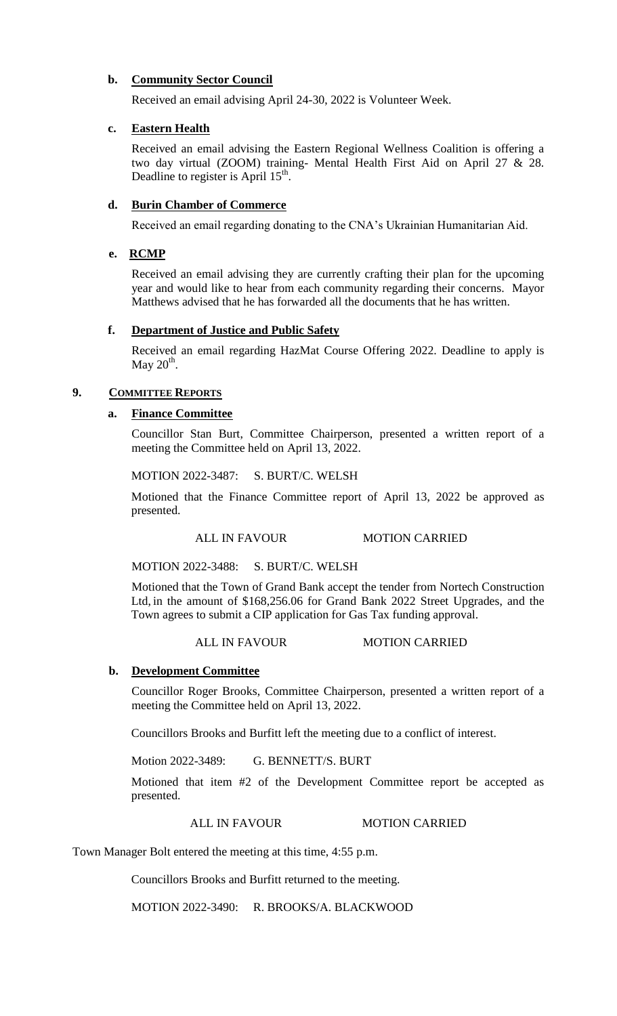# **b. Community Sector Council**

Received an email advising April 24-30, 2022 is Volunteer Week.

## **c. Eastern Health**

Received an email advising the Eastern Regional Wellness Coalition is offering a two day virtual (ZOOM) training- Mental Health First Aid on April 27 & 28. Deadline to register is April  $15<sup>th</sup>$ .

# **d. Burin Chamber of Commerce**

Received an email regarding donating to the CNA's Ukrainian Humanitarian Aid.

## **e. RCMP**

Received an email advising they are currently crafting their plan for the upcoming year and would like to hear from each community regarding their concerns. Mayor Matthews advised that he has forwarded all the documents that he has written.

## **f. Department of Justice and Public Safety**

Received an email regarding HazMat Course Offering 2022. Deadline to apply is May  $20^{\text{th}}$ .

## **9. COMMITTEE REPORTS**

## **a. Finance Committee**

Councillor Stan Burt, Committee Chairperson, presented a written report of a meeting the Committee held on April 13, 2022.

MOTION 2022-3487: S. BURT/C. WELSH

Motioned that the Finance Committee report of April 13, 2022 be approved as presented.

ALL IN FAVOUR MOTION CARRIED

MOTION 2022-3488: S. BURT/C. WELSH

Motioned that the Town of Grand Bank accept the tender from Nortech Construction Ltd, in the amount of \$168,256.06 for Grand Bank 2022 Street Upgrades, and the Town agrees to submit a CIP application for Gas Tax funding approval.

### ALL IN FAVOUR MOTION CARRIED

### **b. Development Committee**

Councillor Roger Brooks, Committee Chairperson, presented a written report of a meeting the Committee held on April 13, 2022.

Councillors Brooks and Burfitt left the meeting due to a conflict of interest.

Motion 2022-3489: G. BENNETT/S. BURT

Motioned that item #2 of the Development Committee report be accepted as presented.

## ALL IN FAVOUR MOTION CARRIED

Town Manager Bolt entered the meeting at this time, 4:55 p.m.

Councillors Brooks and Burfitt returned to the meeting.

MOTION 2022-3490: R. BROOKS/A. BLACKWOOD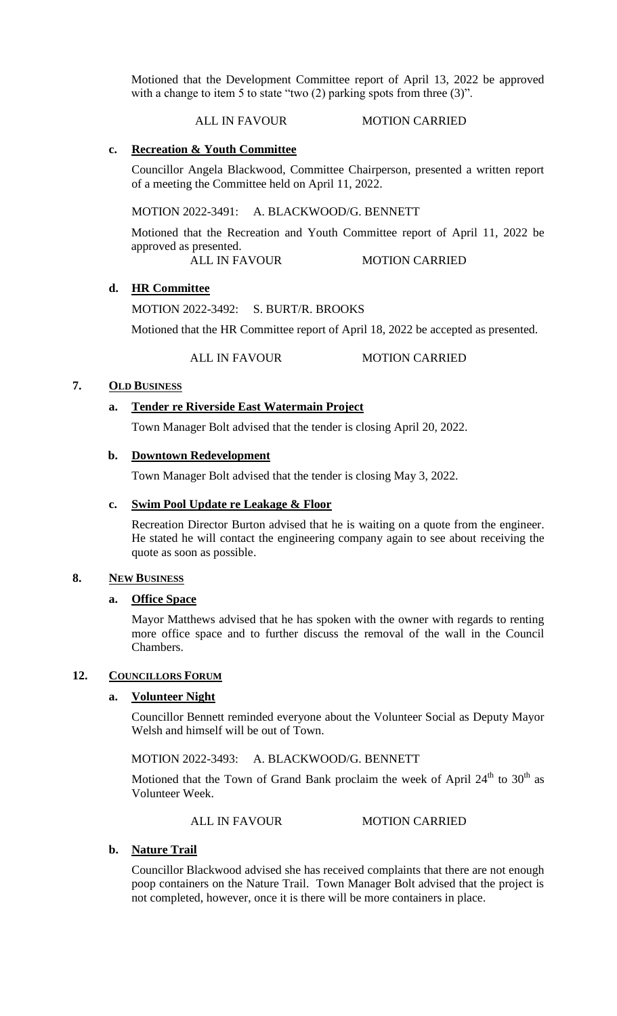Motioned that the Development Committee report of April 13, 2022 be approved with a change to item 5 to state "two (2) parking spots from three (3)".

#### ALL IN FAVOUR MOTION CARRIED

### **c. Recreation & Youth Committee**

Councillor Angela Blackwood, Committee Chairperson, presented a written report of a meeting the Committee held on April 11, 2022.

MOTION 2022-3491: A. BLACKWOOD/G. BENNETT

Motioned that the Recreation and Youth Committee report of April 11, 2022 be approved as presented.

ALL IN FAVOUR MOTION CARRIED

### **d. HR Committee**

MOTION 2022-3492: S. BURT/R. BROOKS

Motioned that the HR Committee report of April 18, 2022 be accepted as presented.

ALL IN FAVOUR MOTION CARRIED

# **7. OLD BUSINESS**

## **a. Tender re Riverside East Watermain Project**

Town Manager Bolt advised that the tender is closing April 20, 2022.

#### **b. Downtown Redevelopment**

Town Manager Bolt advised that the tender is closing May 3, 2022.

#### **c. Swim Pool Update re Leakage & Floor**

Recreation Director Burton advised that he is waiting on a quote from the engineer. He stated he will contact the engineering company again to see about receiving the quote as soon as possible.

#### **8. NEW BUSINESS**

#### **a. Office Space**

Mayor Matthews advised that he has spoken with the owner with regards to renting more office space and to further discuss the removal of the wall in the Council Chambers.

## 12. **COUNCILLORS FORUM**

## **a. Volunteer Night**

Councillor Bennett reminded everyone about the Volunteer Social as Deputy Mayor Welsh and himself will be out of Town.

## MOTION 2022-3493: A. BLACKWOOD/G. BENNETT

Motioned that the Town of Grand Bank proclaim the week of April  $24<sup>th</sup>$  to  $30<sup>th</sup>$  as Volunteer Week.

ALL IN FAVOUR MOTION CARRIED

### **b. Nature Trail**

Councillor Blackwood advised she has received complaints that there are not enough poop containers on the Nature Trail. Town Manager Bolt advised that the project is not completed, however, once it is there will be more containers in place.